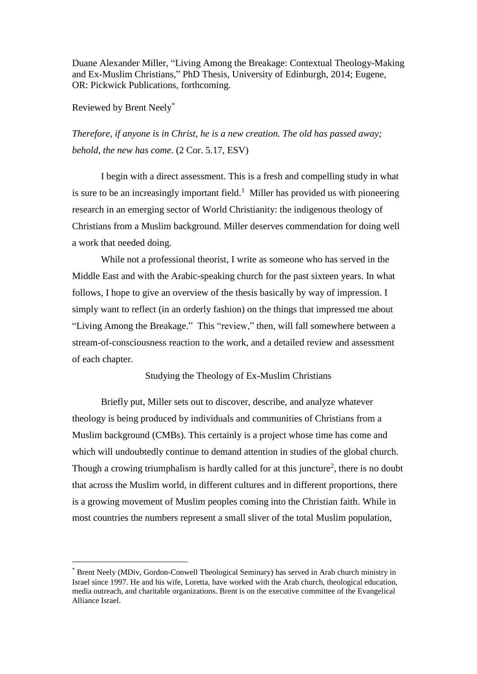Duane Alexander Miller, "Living Among the Breakage: Contextual Theology-Making and Ex-Muslim Christians," PhD Thesis, University of Edinburgh, 2014; Eugene, OR: Pickwick Publications, forthcoming.

Reviewed by Brent Neely \*

 $\overline{a}$ 

*Therefore, if anyone is in Christ, he is a new creation. The old has passed away; behold, the new has come*. (2 Cor. 5.17, ESV)

I begin with a direct assessment. This is a fresh and compelling study in what is sure to be an increasingly important field.<sup>1</sup> Miller has provided us with pioneering research in an emerging sector of World Christianity: the indigenous theology of Christians from a Muslim background. Miller deserves commendation for doing well a work that needed doing.

While not a professional theorist, I write as someone who has served in the Middle East and with the Arabic-speaking church for the past sixteen years. In what follows, I hope to give an overview of the thesis basically by way of impression. I simply want to reflect (in an orderly fashion) on the things that impressed me about "Living Among the Breakage." This "review," then, will fall somewhere between a stream-of-consciousness reaction to the work, and a detailed review and assessment of each chapter.

Studying the Theology of Ex-Muslim Christians

Briefly put, Miller sets out to discover, describe, and analyze whatever theology is being produced by individuals and communities of Christians from a Muslim background (CMBs). This certainly is a project whose time has come and which will undoubtedly continue to demand attention in studies of the global church. Though a crowing triumphalism is hardly called for at this juncture<sup>2</sup>, there is no doubt that across the Muslim world, in different cultures and in different proportions, there is a growing movement of Muslim peoples coming into the Christian faith. While in most countries the numbers represent a small sliver of the total Muslim population,

<sup>\*</sup> Brent Neely (MDiv, Gordon-Conwell Theological Seminary) has served in Arab church ministry in Israel since 1997. He and his wife, Loretta, have worked with the Arab church, theological education, media outreach, and charitable organizations. Brent is on the executive committee of the Evangelical Alliance Israel.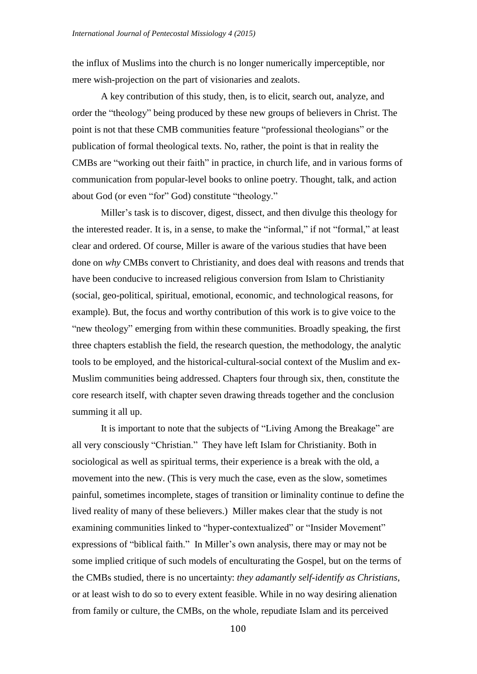the influx of Muslims into the church is no longer numerically imperceptible, nor mere wish-projection on the part of visionaries and zealots.

A key contribution of this study, then, is to elicit, search out, analyze, and order the "theology" being produced by these new groups of believers in Christ. The point is not that these CMB communities feature "professional theologians" or the publication of formal theological texts. No, rather, the point is that in reality the CMBs are "working out their faith" in practice, in church life, and in various forms of communication from popular-level books to online poetry. Thought, talk, and action about God (or even "for" God) constitute "theology."

Miller's task is to discover, digest, dissect, and then divulge this theology for the interested reader. It is, in a sense, to make the "informal," if not "formal," at least clear and ordered. Of course, Miller is aware of the various studies that have been done on *why* CMBs convert to Christianity, and does deal with reasons and trends that have been conducive to increased religious conversion from Islam to Christianity (social, geo-political, spiritual, emotional, economic, and technological reasons, for example). But, the focus and worthy contribution of this work is to give voice to the "new theology" emerging from within these communities. Broadly speaking, the first three chapters establish the field, the research question, the methodology, the analytic tools to be employed, and the historical-cultural-social context of the Muslim and ex-Muslim communities being addressed. Chapters four through six, then, constitute the core research itself, with chapter seven drawing threads together and the conclusion summing it all up.

It is important to note that the subjects of "Living Among the Breakage" are all very consciously "Christian." They have left Islam for Christianity. Both in sociological as well as spiritual terms, their experience is a break with the old, a movement into the new. (This is very much the case, even as the slow, sometimes painful, sometimes incomplete, stages of transition or liminality continue to define the lived reality of many of these believers.) Miller makes clear that the study is not examining communities linked to "hyper-contextualized" or "Insider Movement" expressions of "biblical faith." In Miller's own analysis, there may or may not be some implied critique of such models of enculturating the Gospel, but on the terms of the CMBs studied, there is no uncertainty: *they adamantly self-identify as Christians*, or at least wish to do so to every extent feasible. While in no way desiring alienation from family or culture, the CMBs, on the whole, repudiate Islam and its perceived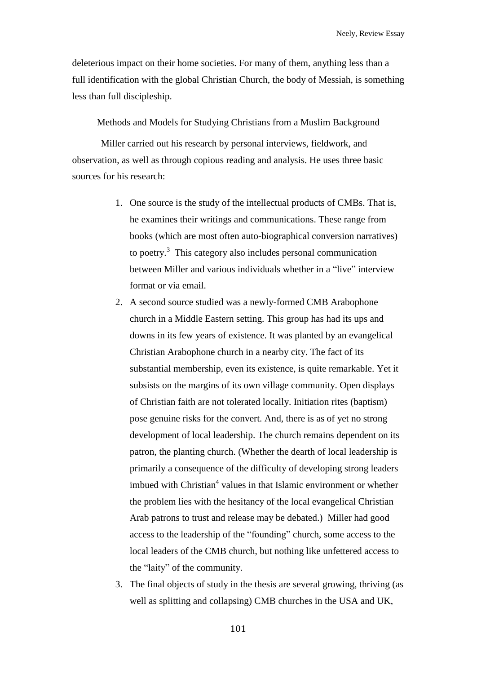deleterious impact on their home societies. For many of them, anything less than a full identification with the global Christian Church, the body of Messiah, is something less than full discipleship.

Methods and Models for Studying Christians from a Muslim Background

Miller carried out his research by personal interviews, fieldwork, and observation, as well as through copious reading and analysis. He uses three basic sources for his research:

- 1. One source is the study of the intellectual products of CMBs. That is, he examines their writings and communications. These range from books (which are most often auto-biographical conversion narratives) to poetry.<sup>3</sup> This category also includes personal communication between Miller and various individuals whether in a "live" interview format or via email.
- 2. A second source studied was a newly-formed CMB Arabophone church in a Middle Eastern setting. This group has had its ups and downs in its few years of existence. It was planted by an evangelical Christian Arabophone church in a nearby city. The fact of its substantial membership, even its existence, is quite remarkable. Yet it subsists on the margins of its own village community. Open displays of Christian faith are not tolerated locally. Initiation rites (baptism) pose genuine risks for the convert. And, there is as of yet no strong development of local leadership. The church remains dependent on its patron, the planting church. (Whether the dearth of local leadership is primarily a consequence of the difficulty of developing strong leaders imbued with Christian<sup>4</sup> values in that Islamic environment or whether the problem lies with the hesitancy of the local evangelical Christian Arab patrons to trust and release may be debated.) Miller had good access to the leadership of the "founding" church, some access to the local leaders of the CMB church, but nothing like unfettered access to the "laity" of the community.
- 3. The final objects of study in the thesis are several growing, thriving (as well as splitting and collapsing) CMB churches in the USA and UK,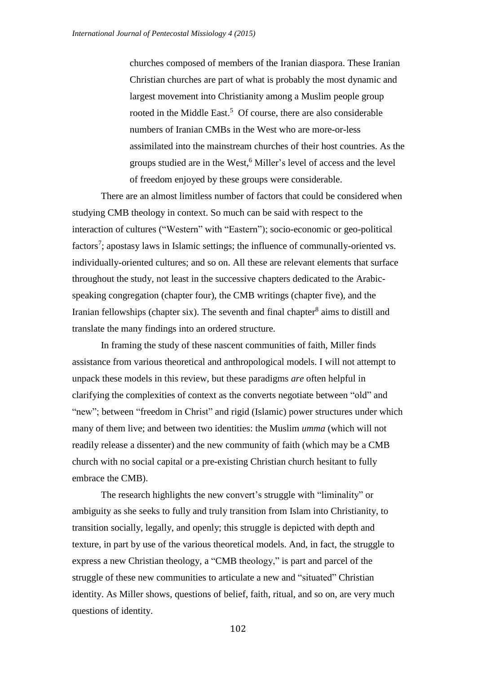churches composed of members of the Iranian diaspora. These Iranian Christian churches are part of what is probably the most dynamic and largest movement into Christianity among a Muslim people group rooted in the Middle East.<sup>5</sup> Of course, there are also considerable numbers of Iranian CMBs in the West who are more-or-less assimilated into the mainstream churches of their host countries. As the groups studied are in the West,<sup>6</sup> Miller's level of access and the level of freedom enjoyed by these groups were considerable.

There are an almost limitless number of factors that could be considered when studying CMB theology in context. So much can be said with respect to the interaction of cultures ("Western" with "Eastern"); socio-economic or geo-political factors<sup>7</sup>; apostasy laws in Islamic settings; the influence of communally-oriented vs. individually-oriented cultures; and so on. All these are relevant elements that surface throughout the study, not least in the successive chapters dedicated to the Arabicspeaking congregation (chapter four), the CMB writings (chapter five), and the Iranian fellowships (chapter six). The seventh and final chapter<sup>8</sup> aims to distill and translate the many findings into an ordered structure.

In framing the study of these nascent communities of faith, Miller finds assistance from various theoretical and anthropological models. I will not attempt to unpack these models in this review, but these paradigms *are* often helpful in clarifying the complexities of context as the converts negotiate between "old" and "new"; between "freedom in Christ" and rigid (Islamic) power structures under which many of them live; and between two identities: the Muslim *umma* (which will not readily release a dissenter) and the new community of faith (which may be a CMB church with no social capital or a pre-existing Christian church hesitant to fully embrace the CMB).

The research highlights the new convert's struggle with "liminality" or ambiguity as she seeks to fully and truly transition from Islam into Christianity, to transition socially, legally, and openly; this struggle is depicted with depth and texture, in part by use of the various theoretical models. And, in fact, the struggle to express a new Christian theology, a "CMB theology," is part and parcel of the struggle of these new communities to articulate a new and "situated" Christian identity. As Miller shows, questions of belief, faith, ritual, and so on, are very much questions of identity.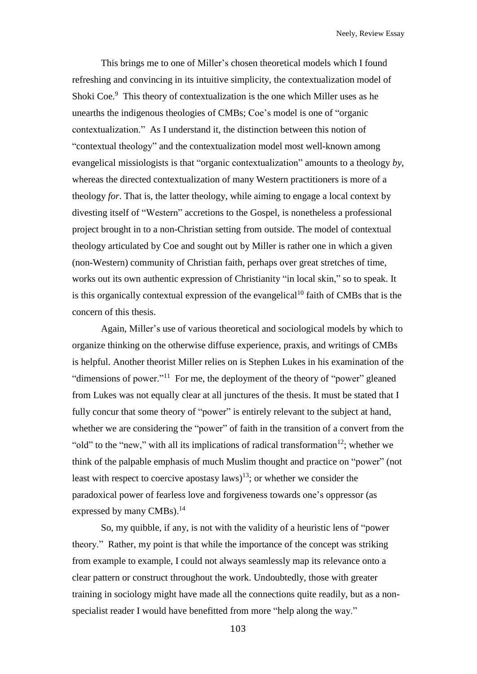Neely, Review Essay

This brings me to one of Miller's chosen theoretical models which I found refreshing and convincing in its intuitive simplicity, the contextualization model of Shoki Coe.<sup>9</sup> This theory of contextualization is the one which Miller uses as he unearths the indigenous theologies of CMBs; Coe's model is one of "organic contextualization." As I understand it, the distinction between this notion of "contextual theology" and the contextualization model most well-known among evangelical missiologists is that "organic contextualization" amounts to a theology *by*, whereas the directed contextualization of many Western practitioners is more of a theology *for*. That is, the latter theology, while aiming to engage a local context by divesting itself of "Western" accretions to the Gospel, is nonetheless a professional project brought in to a non-Christian setting from outside. The model of contextual theology articulated by Coe and sought out by Miller is rather one in which a given (non-Western) community of Christian faith, perhaps over great stretches of time, works out its own authentic expression of Christianity "in local skin," so to speak. It is this organically contextual expression of the evangelical<sup>10</sup> faith of CMBs that is the concern of this thesis.

Again, Miller's use of various theoretical and sociological models by which to organize thinking on the otherwise diffuse experience, praxis, and writings of CMBs is helpful. Another theorist Miller relies on is Stephen Lukes in his examination of the "dimensions of power."<sup>11</sup> For me, the deployment of the theory of "power" gleaned from Lukes was not equally clear at all junctures of the thesis. It must be stated that I fully concur that some theory of "power" is entirely relevant to the subject at hand, whether we are considering the "power" of faith in the transition of a convert from the "old" to the "new," with all its implications of radical transformation<sup>12</sup>; whether we think of the palpable emphasis of much Muslim thought and practice on "power" (not least with respect to coercive apostasy laws)<sup>13</sup>; or whether we consider the paradoxical power of fearless love and forgiveness towards one's oppressor (as expressed by many  $CMBs$ ).<sup>14</sup>

So, my quibble, if any, is not with the validity of a heuristic lens of "power theory." Rather, my point is that while the importance of the concept was striking from example to example, I could not always seamlessly map its relevance onto a clear pattern or construct throughout the work. Undoubtedly, those with greater training in sociology might have made all the connections quite readily, but as a nonspecialist reader I would have benefitted from more "help along the way."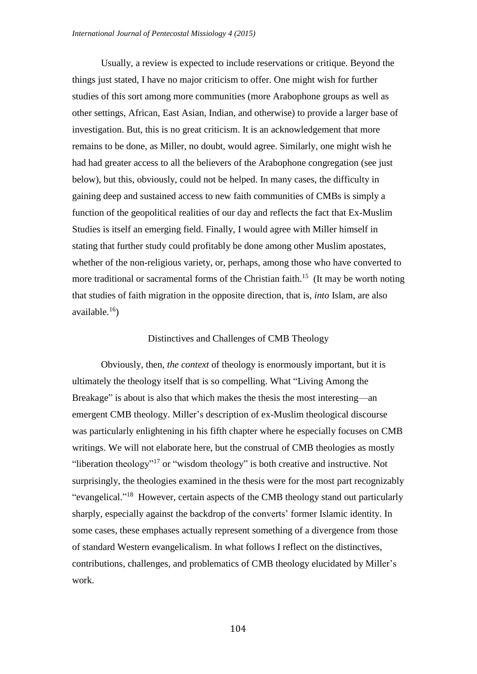Usually, a review is expected to include reservations or critique. Beyond the things just stated, I have no major criticism to offer. One might wish for further studies of this sort among more communities (more Arabophone groups as well as other settings, African, East Asian, Indian, and otherwise) to provide a larger base of investigation. But, this is no great criticism. It is an acknowledgement that more remains to be done, as Miller, no doubt, would agree. Similarly, one might wish he had had greater access to all the believers of the Arabophone congregation (see just below), but this, obviously, could not be helped. In many cases, the difficulty in gaining deep and sustained access to new faith communities of CMBs is simply a function of the geopolitical realities of our day and reflects the fact that Ex-Muslim Studies is itself an emerging field. Finally, I would agree with Miller himself in stating that further study could profitably be done among other Muslim apostates, whether of the non-religious variety, or, perhaps, among those who have converted to more traditional or sacramental forms of the Christian faith.<sup>15</sup> (It may be worth noting that studies of faith migration in the opposite direction, that is, *into* Islam, are also available. $16$ )

## Distinctives and Challenges of CMB Theology

Obviously, then, *the context* of theology is enormously important, but it is ultimately the theology itself that is so compelling. What "Living Among the Breakage" is about is also that which makes the thesis the most interesting—an emergent CMB theology. Miller's description of ex-Muslim theological discourse was particularly enlightening in his fifth chapter where he especially focuses on CMB writings. We will not elaborate here, but the construal of CMB theologies as mostly "liberation theology"<sup>17</sup> or "wisdom theology" is both creative and instructive. Not surprisingly, the theologies examined in the thesis were for the most part recognizably "evangelical."<sup>18</sup> However, certain aspects of the CMB theology stand out particularly sharply, especially against the backdrop of the converts' former Islamic identity. In some cases, these emphases actually represent something of a divergence from those of standard Western evangelicalism. In what follows I reflect on the distinctives, contributions, challenges, and problematics of CMB theology elucidated by Miller's work.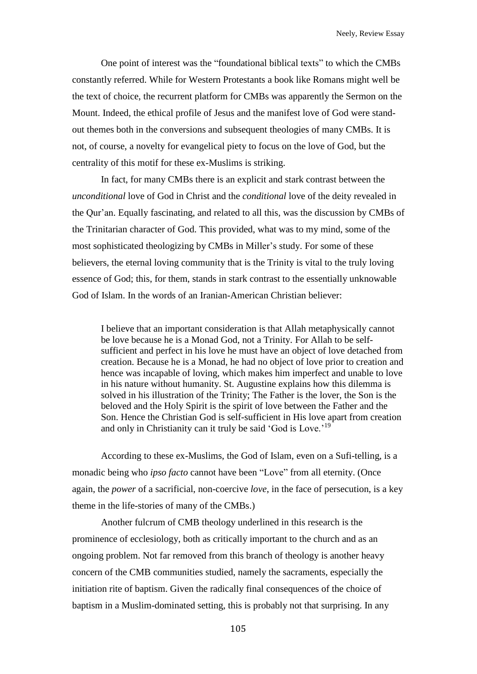One point of interest was the "foundational biblical texts" to which the CMBs constantly referred. While for Western Protestants a book like Romans might well be the text of choice, the recurrent platform for CMBs was apparently the Sermon on the Mount. Indeed, the ethical profile of Jesus and the manifest love of God were standout themes both in the conversions and subsequent theologies of many CMBs. It is not, of course, a novelty for evangelical piety to focus on the love of God, but the centrality of this motif for these ex-Muslims is striking.

In fact, for many CMBs there is an explicit and stark contrast between the *unconditional* love of God in Christ and the *conditional* love of the deity revealed in the Qur'an. Equally fascinating, and related to all this, was the discussion by CMBs of the Trinitarian character of God. This provided, what was to my mind, some of the most sophisticated theologizing by CMBs in Miller's study. For some of these believers, the eternal loving community that is the Trinity is vital to the truly loving essence of God; this, for them, stands in stark contrast to the essentially unknowable God of Islam. In the words of an Iranian-American Christian believer:

I believe that an important consideration is that Allah metaphysically cannot be love because he is a Monad God, not a Trinity. For Allah to be selfsufficient and perfect in his love he must have an object of love detached from creation. Because he is a Monad, he had no object of love prior to creation and hence was incapable of loving, which makes him imperfect and unable to love in his nature without humanity. St. Augustine explains how this dilemma is solved in his illustration of the Trinity; The Father is the lover, the Son is the beloved and the Holy Spirit is the spirit of love between the Father and the Son. Hence the Christian God is self-sufficient in His love apart from creation and only in Christianity can it truly be said 'God is Love.'<sup>19</sup>

According to these ex-Muslims, the God of Islam, even on a Sufi-telling, is a monadic being who *ipso facto* cannot have been "Love" from all eternity. (Once again, the *power* of a sacrificial, non-coercive *love*, in the face of persecution, is a key theme in the life-stories of many of the CMBs.)

Another fulcrum of CMB theology underlined in this research is the prominence of ecclesiology, both as critically important to the church and as an ongoing problem. Not far removed from this branch of theology is another heavy concern of the CMB communities studied, namely the sacraments, especially the initiation rite of baptism. Given the radically final consequences of the choice of baptism in a Muslim-dominated setting, this is probably not that surprising. In any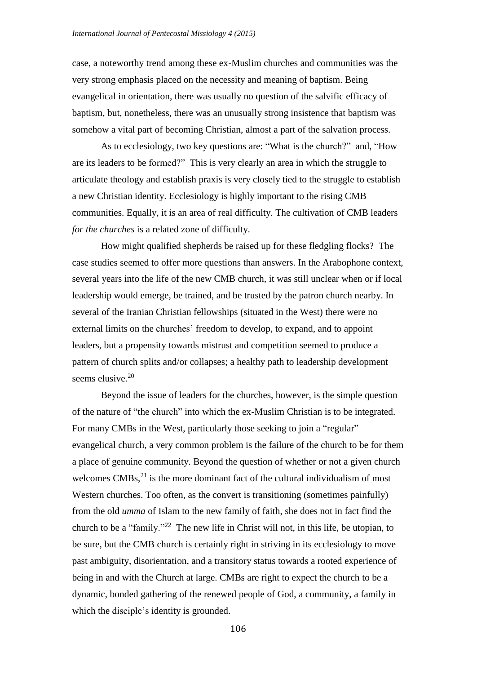case, a noteworthy trend among these ex-Muslim churches and communities was the very strong emphasis placed on the necessity and meaning of baptism. Being evangelical in orientation, there was usually no question of the salvific efficacy of baptism, but, nonetheless, there was an unusually strong insistence that baptism was somehow a vital part of becoming Christian, almost a part of the salvation process.

As to ecclesiology, two key questions are: "What is the church?" and, "How are its leaders to be formed?" This is very clearly an area in which the struggle to articulate theology and establish praxis is very closely tied to the struggle to establish a new Christian identity. Ecclesiology is highly important to the rising CMB communities. Equally, it is an area of real difficulty. The cultivation of CMB leaders *for the churches* is a related zone of difficulty.

How might qualified shepherds be raised up for these fledgling flocks? The case studies seemed to offer more questions than answers. In the Arabophone context, several years into the life of the new CMB church, it was still unclear when or if local leadership would emerge, be trained, and be trusted by the patron church nearby. In several of the Iranian Christian fellowships (situated in the West) there were no external limits on the churches' freedom to develop, to expand, and to appoint leaders, but a propensity towards mistrust and competition seemed to produce a pattern of church splits and/or collapses; a healthy path to leadership development seems elusive.<sup>20</sup>

Beyond the issue of leaders for the churches, however, is the simple question of the nature of "the church" into which the ex-Muslim Christian is to be integrated. For many CMBs in the West, particularly those seeking to join a "regular" evangelical church, a very common problem is the failure of the church to be for them a place of genuine community. Beyond the question of whether or not a given church welcomes  $CMBs<sub>1</sub><sup>21</sup>$  is the more dominant fact of the cultural individualism of most Western churches. Too often, as the convert is transitioning (sometimes painfully) from the old *umma* of Islam to the new family of faith, she does not in fact find the church to be a "family."<sup>22</sup> The new life in Christ will not, in this life, be utopian, to be sure, but the CMB church is certainly right in striving in its ecclesiology to move past ambiguity, disorientation, and a transitory status towards a rooted experience of being in and with the Church at large. CMBs are right to expect the church to be a dynamic, bonded gathering of the renewed people of God, a community, a family in which the disciple's identity is grounded.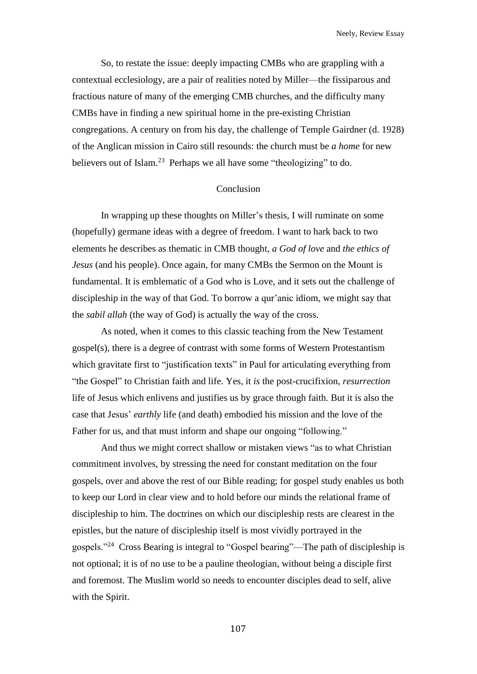Neely, Review Essay

So, to restate the issue: deeply impacting CMBs who are grappling with a contextual ecclesiology, are a pair of realities noted by Miller—the fissiparous and fractious nature of many of the emerging CMB churches, and the difficulty many CMBs have in finding a new spiritual home in the pre-existing Christian congregations. A century on from his day, the challenge of Temple Gairdner (d. 1928) of the Anglican mission in Cairo still resounds: the church must be *a home* for new believers out of Islam.<sup>23</sup> Perhaps we all have some "theologizing" to do.

## Conclusion

In wrapping up these thoughts on Miller's thesis, I will ruminate on some (hopefully) germane ideas with a degree of freedom. I want to hark back to two elements he describes as thematic in CMB thought, *a God of love* and *the ethics of Jesus* (and his people). Once again, for many CMBs the Sermon on the Mount is fundamental. It is emblematic of a God who is Love, and it sets out the challenge of discipleship in the way of that God. To borrow a qur'anic idiom, we might say that the *sabil allah* (the way of God) is actually the way of the cross.

As noted, when it comes to this classic teaching from the New Testament gospel(s), there is a degree of contrast with some forms of Western Protestantism which gravitate first to "justification texts" in Paul for articulating everything from "the Gospel" to Christian faith and life. Yes, it *is* the post-crucifixion, *resurrection* life of Jesus which enlivens and justifies us by grace through faith. But it is also the case that Jesus' *earthly* life (and death) embodied his mission and the love of the Father for us, and that must inform and shape our ongoing "following."

And thus we might correct shallow or mistaken views "as to what Christian commitment involves, by stressing the need for constant meditation on the four gospels, over and above the rest of our Bible reading; for gospel study enables us both to keep our Lord in clear view and to hold before our minds the relational frame of discipleship to him. The doctrines on which our discipleship rests are clearest in the epistles, but the nature of discipleship itself is most vividly portrayed in the gospels."<sup>24</sup> Cross Bearing is integral to "Gospel bearing"—The path of discipleship is not optional; it is of no use to be a pauline theologian, without being a disciple first and foremost. The Muslim world so needs to encounter disciples dead to self, alive with the Spirit.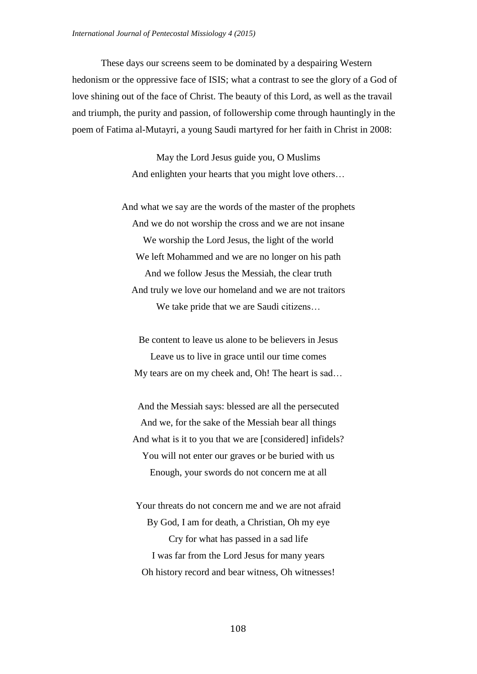These days our screens seem to be dominated by a despairing Western hedonism or the oppressive face of ISIS; what a contrast to see the glory of a God of love shining out of the face of Christ. The beauty of this Lord, as well as the travail and triumph, the purity and passion, of followership come through hauntingly in the poem of Fatima al-Mutayri, a young Saudi martyred for her faith in Christ in 2008:

> May the Lord Jesus guide you, O Muslims And enlighten your hearts that you might love others…

And what we say are the words of the master of the prophets And we do not worship the cross and we are not insane We worship the Lord Jesus, the light of the world We left Mohammed and we are no longer on his path And we follow Jesus the Messiah, the clear truth And truly we love our homeland and we are not traitors We take pride that we are Saudi citizens…

Be content to leave us alone to be believers in Jesus Leave us to live in grace until our time comes My tears are on my cheek and, Oh! The heart is sad…

And the Messiah says: blessed are all the persecuted And we, for the sake of the Messiah bear all things And what is it to you that we are [considered] infidels? You will not enter our graves or be buried with us Enough, your swords do not concern me at all

Your threats do not concern me and we are not afraid By God, I am for death, a Christian, Oh my eye Cry for what has passed in a sad life I was far from the Lord Jesus for many years Oh history record and bear witness, Oh witnesses!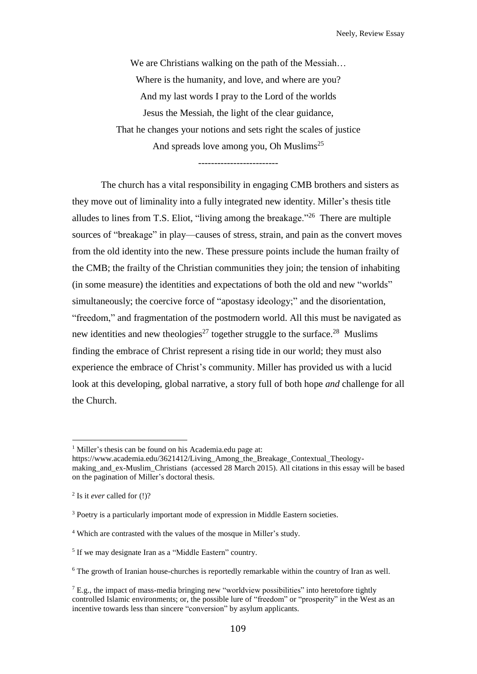We are Christians walking on the path of the Messiah... Where is the humanity, and love, and where are you? And my last words I pray to the Lord of the worlds Jesus the Messiah, the light of the clear guidance, That he changes your notions and sets right the scales of justice And spreads love among you, Oh Muslims<sup>25</sup>

-------------------------

The church has a vital responsibility in engaging CMB brothers and sisters as they move out of liminality into a fully integrated new identity. Miller's thesis title alludes to lines from T.S. Eliot, "living among the breakage."<sup>26</sup> There are multiple sources of "breakage" in play—causes of stress, strain, and pain as the convert moves from the old identity into the new. These pressure points include the human frailty of the CMB; the frailty of the Christian communities they join; the tension of inhabiting (in some measure) the identities and expectations of both the old and new "worlds" simultaneously; the coercive force of "apostasy ideology;" and the disorientation, "freedom," and fragmentation of the postmodern world. All this must be navigated as new identities and new theologies<sup>27</sup> together struggle to the surface.<sup>28</sup> Muslims finding the embrace of Christ represent a rising tide in our world; they must also experience the embrace of Christ's community. Miller has provided us with a lucid look at this developing, global narrative, a story full of both hope *and* challenge for all the Church.

 $\overline{a}$ 

<sup>1</sup> Miller's thesis can be found on his Academia.edu page at:

https://www.academia.edu/3621412/Living\_Among\_the\_Breakage\_Contextual\_Theologymaking and ex-Muslim Christians (accessed 28 March 2015). All citations in this essay will be based on the pagination of Miller's doctoral thesis.

<sup>2</sup> Is it *ever* called for (!)?

<sup>&</sup>lt;sup>3</sup> Poetry is a particularly important mode of expression in Middle Eastern societies.

<sup>4</sup> Which are contrasted with the values of the mosque in Miller's study.

<sup>&</sup>lt;sup>5</sup> If we may designate Iran as a "Middle Eastern" country.

<sup>&</sup>lt;sup>6</sup> The growth of Iranian house-churches is reportedly remarkable within the country of Iran as well.

 $<sup>7</sup>$  E.g., the impact of mass-media bringing new "worldview possibilities" into heretofore tightly</sup> controlled Islamic environments; or, the possible lure of "freedom" or "prosperity" in the West as an incentive towards less than sincere "conversion" by asylum applicants.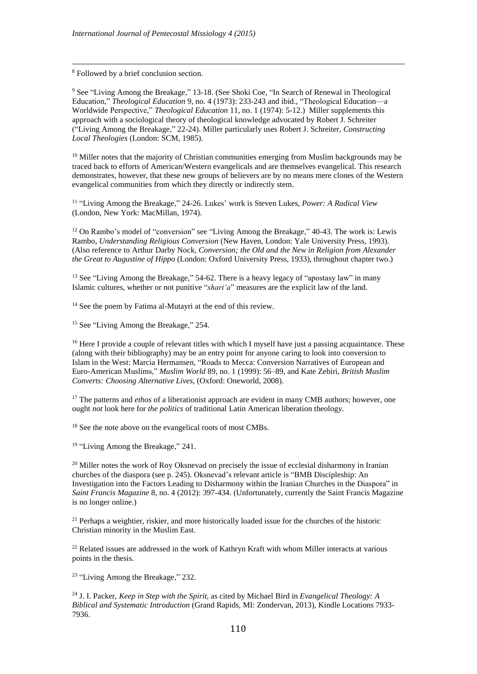<sup>8</sup> Followed by a brief conclusion section.

 $\overline{a}$ 

<sup>9</sup> See "Living Among the Breakage," 13-18. (See Shoki Coe, "In Search of Renewal in Theological Education," *Theological Education* 9, no. 4 (1973): 233-243 and ibid., "Theological Education—a Worldwide Perspective," *Theological Education* 11, no. 1 (1974): 5-12.) Miller supplements this approach with a sociological theory of theological knowledge advocated by Robert J. Schreiter ("Living Among the Breakage," 22-24). Miller particularly uses Robert J. Schreiter, *Constructing Local Theologies* (London: SCM, 1985).

 $10$  Miller notes that the majority of Christian communities emerging from Muslim backgrounds may be traced back to efforts of American/Western evangelicals and are themselves evangelical. This research demonstrates, however, that these new groups of believers are by no means mere clones of the Western evangelical communities from which they directly or indirectly stem.

11 "Living Among the Breakage," 24-26. Lukes' work is Steven Lukes, *Power: A Radical View* (London, New York: MacMillan, 1974).

 $12$  On Rambo's model of "conversion" see "Living Among the Breakage," 40-43. The work is: Lewis Rambo, *Understanding Religious Conversion* (New Haven, London: Yale University Press, 1993). (Also reference to Arthur Darby Nock, *Conversion; the Old and the New in Religion from Alexander the Great to Augustine of Hippo* (London: Oxford University Press, 1933), throughout chapter two.)

<sup>13</sup> See "Living Among the Breakage," 54-62. There is a heavy legacy of "apostasy law" in many Islamic cultures, whether or not punitive "*shari'a*" measures are the explicit law of the land.

<sup>14</sup> See the poem by Fatima al-Mutayri at the end of this review.

<sup>15</sup> See "Living Among the Breakage," 254.

<sup>16</sup> Here I provide a couple of relevant titles with which I myself have just a passing acquaintance. These (along with their bibliography) may be an entry point for anyone caring to look into conversion to Islam in the West: Marcia Hermansen, "Roads to Mecca: Conversion Narratives of European and Euro-American Muslims," *Muslim World* 89, no. 1 (1999): 56–89, and Kate Zebiri, *British Muslim Converts: Choosing Alternative Lives*, (Oxford: Oneworld, 2008).

<sup>17</sup> The patterns and *ethos* of a liberationist approach are evident in many CMB authors; however, one ought *not* look here for *the politics* of traditional Latin American liberation theology.

<sup>18</sup> See the note above on the evangelical roots of most CMBs.

<sup>19</sup> "Living Among the Breakage," 241.

<sup>20</sup> Miller notes the work of Roy Oksnevad on precisely the issue of ecclesial disharmony in Iranian churches of the diaspora (see p. 245). Oksnevad's relevant article is "BMB Discipleship: An Investigation into the Factors Leading to Disharmony within the Iranian Churches in the Diaspora" in *Saint Francis Magazine* 8, no. 4 (2012): 397-434. (Unfortunately, currently the Saint Francis Magazine is no longer online.)

<sup>21</sup> Perhaps a weightier, riskier, and more historically loaded issue for the churches of the historic Christian minority in the Muslim East.

<sup>22</sup> Related issues are addressed in the work of Kathryn Kraft with whom Miller interacts at various points in the thesis.

<sup>23</sup> "Living Among the Breakage," 232.

<sup>24</sup> J. I. Packer, *Keep in Step with the Spirit*, as cited by Michael Bird in *Evangelical Theology: A Biblical and Systematic Introduction* (Grand Rapids, MI: Zondervan, 2013), Kindle Locations 7933- 7936.